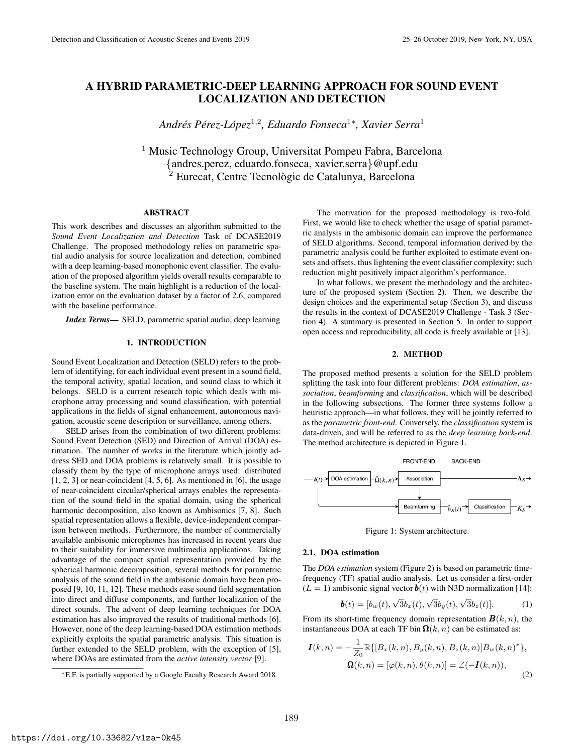# A HYBRID PARAMETRIC-DEEP LEARNING APPROACH FOR SOUND EVENT LOCALIZATION AND DETECTION

*Andres P ´ erez-L ´ opez ´* 1,2 *, Eduardo Fonseca*<sup>1</sup><sup>∗</sup> *, Xavier Serra*<sup>1</sup>

<sup>1</sup> Music Technology Group, Universitat Pompeu Fabra, Barcelona {andres.perez, eduardo.fonseca, xavier.serra}@upf.edu  $2$  Eurecat, Centre Tecnològic de Catalunya, Barcelona

# ABSTRACT

This work describes and discusses an algorithm submitted to the *Sound Event Localization and Detection* Task of DCASE2019 Challenge. The proposed methodology relies on parametric spatial audio analysis for source localization and detection, combined with a deep learning-based monophonic event classifier. The evaluation of the proposed algorithm yields overall results comparable to the baseline system. The main highlight is a reduction of the localization error on the evaluation dataset by a factor of 2.6, compared with the baseline performance.

*Index Terms*— SELD, parametric spatial audio, deep learning

# 1. INTRODUCTION

Sound Event Localization and Detection (SELD) refers to the problem of identifying, for each individual event present in a sound field, the temporal activity, spatial location, and sound class to which it belongs. SELD is a current research topic which deals with microphone array processing and sound classification, with potential applications in the fields of signal enhancement, autonomous navigation, acoustic scene description or surveillance, among others.

SELD arises from the combination of two different problems: Sound Event Detection (SED) and Direction of Arrival (DOA) estimation. The number of works in the literature which jointly address SED and DOA problems is relatively small. It is possible to classify them by the type of microphone arrays used: distributed  $[1, 2, 3]$  or near-coincident  $[4, 5, 6]$ . As mentioned in  $[6]$ , the usage of near-coincident circular/spherical arrays enables the representation of the sound field in the spatial domain, using the spherical harmonic decomposition, also known as Ambisonics [7, 8]. Such spatial representation allows a flexible, device-independent comparison between methods. Furthermore, the number of commercially available ambisonic microphones has increased in recent years due to their suitability for immersive multimedia applications. Taking advantage of the compact spatial representation provided by the spherical harmonic decomposition, several methods for parametric analysis of the sound field in the ambisonic domain have been proposed [9, 10, 11, 12]. These methods ease sound field segmentation into direct and diffuse components, and further localization of the direct sounds. The advent of deep learning techniques for DOA estimation has also improved the results of traditional methods [6]. However, none of the deep learning-based DOA estimation methods explicitly exploits the spatial parametric analysis. This situation is further extended to the SELD problem, with the exception of [5], where DOAs are estimated from the *active intensity vector* [9].

The motivation for the proposed methodology is two-fold. First, we would like to check whether the usage of spatial parametric analysis in the ambisonic domain can improve the performance of SELD algorithms. Second, temporal information derived by the parametric analysis could be further exploited to estimate event onsets and offsets, thus lightening the event classifier complexity; such reduction might positively impact algorithm's performance.

In what follows, we present the methodology and the architecture of the proposed system (Section 2). Then, we describe the design choices and the experimental setup (Section 3), and discuss the results in the context of DCASE2019 Challenge - Task 3 (Section 4). A summary is presented in Section 5. In order to support open access and reproducibility, all code is freely available at [13].

# 2. METHOD

The proposed method presents a solution for the SELD problem splitting the task into four different problems: *DOA estimation*, *association*, *beamforming* and *classification*, which will be described in the following subsections. The former three systems follow a heuristic approach—in what follows, they will be jointly referred to as the *parametric front-end*. Conversely, the *classification* system is data-driven, and will be referred to as the *deep learning back-end*. The method architecture is depicted in Figure 1.



Figure 1: System architecture.

#### 2.1. DOA estimation

The *DOA estimation* system (Figure 2) is based on parametric timefrequency (TF) spatial audio analysis. Let us consider a first-order  $(L = 1)$  ambisonic signal vector  $\boldsymbol{b}(t)$  with N3D normalization [14]:

$$
\boldsymbol{b}(t) = [b_w(t), \sqrt{3}b_x(t), \sqrt{3}b_y(t), \sqrt{3}b_z(t)].
$$
 (1)

From its short-time frequency domain representation  $\mathbf{B}(k, n)$ , the instantaneous DOA at each TF bin  $\Omega(k, n)$  can be estimated as:

$$
\mathbf{I}(k,n) = -\frac{1}{Z_0} \mathbb{R} \{ [B_x(k,n), B_y(k,n), B_z(k,n)] B_w(k,n)^* \},
$$
  

$$
\mathbf{\Omega}(k,n) = [\varphi(k,n), \theta(k,n)] = \angle(-\mathbf{I}(k,n)),
$$
 (2)

<sup>∗</sup>E.F. is partially supported by a Google Faculty Research Award 2018.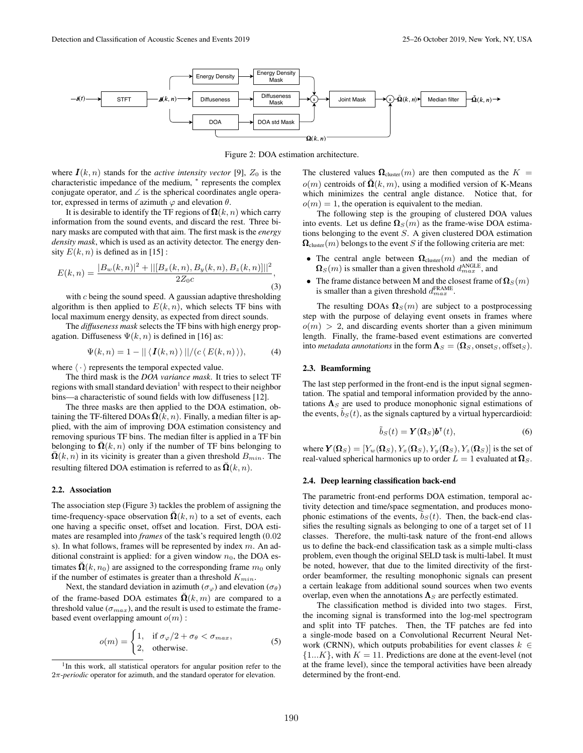

Figure 2: DOA estimation architecture.

where  $I(k, n)$  stands for the *active intensity vector* [9],  $Z_0$  is the characteristic impedance of the medium, \* represents the complex conjugate operator, and ∠ is the spherical coordinates angle operator, expressed in terms of azimuth  $\varphi$  and elevation  $\theta$ .

It is desirable to identify the TF regions of  $\Omega(k, n)$  which carry information from the sound events, and discard the rest. Three binary masks are computed with that aim. The first mask is the *energy density mask*, which is used as an activity detector. The energy density  $E(k, n)$  is defined as in [15]:

$$
E(k,n) = \frac{|B_w(k,n)|^2 + ||[B_x(k,n), B_y(k,n), B_z(k,n)]||^2}{2Z_0c},
$$
\n(3)

with  $c$  being the sound speed. A gaussian adaptive thresholding algorithm is then applied to  $E(k, n)$ , which selects TF bins with local maximum energy density, as expected from direct sounds.

The *diffuseness mask* selects the TF bins with high energy propagation. Diffuseness  $\Psi(k, n)$  is defined in [16] as:

$$
\Psi(k,n) = 1 - || \langle \mathbf{I}(k,n) \rangle || / (c \langle E(k,n) \rangle), \tag{4}
$$

where  $\langle \cdot \rangle$  represents the temporal expected value.

The third mask is the *DOA variance mask*. It tries to select TF regions with small standard deviation<sup>1</sup> with respect to their neighbor bins—a characteristic of sound fields with low diffuseness [12].

The three masks are then applied to the DOA estimation, obtaining the TF-filtered DOAs  $\bar{\mathbf{\Omega}}(k, n)$ . Finally, a median filter is applied, with the aim of improving DOA estimation consistency and removing spurious TF bins. The median filter is applied in a TF bin belonging to  $\Omega(k, n)$  only if the number of TF bins belonging to  $\Omega(k, n)$  in its vicinity is greater than a given threshold  $B_{min}$ . The resulting filtered DOA estimation is referred to as  $\tilde{\mathbf{\Omega}}(k, n)$ .

# 2.2. Association

The association step (Figure 3) tackles the problem of assigning the time-frequency-space observation  $\tilde{\mathbf{\Omega}}(k, n)$  to a set of events, each one having a specific onset, offset and location. First, DOA estimates are resampled into *frames* of the task's required length (0.02 s). In what follows, frames will be represented by index  $m$ . An additional constraint is applied: for a given window  $n_0$ , the DOA estimates  $\tilde{\mathbf{\Omega}}(k, n_0)$  are assigned to the corresponding frame  $m_0$  only if the number of estimates is greater than a threshold  $K_{min}$ .

Next, the standard deviation in azimuth ( $\sigma_{\varphi}$ ) and elevation ( $\sigma_{\theta}$ ) of the frame-based DOA estimates  $\tilde{\mathbf{\Omega}}(k, m)$  are compared to a threshold value ( $\sigma_{max}$ ), and the result is used to estimate the framebased event overlapping amount  $o(m)$ :

$$
o(m) = \begin{cases} 1, & \text{if } \sigma_{\varphi}/2 + \sigma_{\theta} < \sigma_{max}, \\ 2, & \text{otherwise.} \end{cases}
$$
 (5)

The clustered values  $\Omega_{\text{cluster}}(m)$  are then computed as the  $K =$  $o(m)$  centroids of  $\tilde{\mathbf{\Omega}}(k,m)$ , using a modified version of K-Means which minimizes the central angle distance. Notice that, for  $o(m) = 1$ , the operation is equivalent to the median.

The following step is the grouping of clustered DOA values into events. Let us define  $\Omega<sub>S</sub>(m)$  as the frame-wise DOA estimations belonging to the event  $S$ . A given clustered DOA estimation  $\Omega_{\text{cluster}}(m)$  belongs to the event S if the following criteria are met:

- The central angle between  $\Omega_{\text{cluster}}(m)$  and the median of  $\Omega_S(m)$  is smaller than a given threshold  $d_{max}^{\text{ANGLE}}$ , and
- The frame distance between M and the closest frame of  $\Omega_s(m)$ is smaller than a given threshold  $d_{max}^{\text{FRAME}}$ .

The resulting DOAs  $\Omega_S(m)$  are subject to a postprocessing step with the purpose of delaying event onsets in frames where  $o(m) > 2$ , and discarding events shorter than a given minimum length. Finally, the frame-based event estimations are converted into *metadata annotations* in the form  $\Lambda_S = (\Omega_S, \text{onset}_S, \text{offset}_S)$ .

#### 2.3. Beamforming

The last step performed in the front-end is the input signal segmentation. The spatial and temporal information provided by the annotations  $\Lambda_S$  are used to produce monophonic signal estimations of the events,  $b_S(t)$ , as the signals captured by a virtual hypercardioid:

$$
\tilde{b}_S(t) = \mathbf{Y}(\mathbf{\Omega}_S)\mathbf{b}^\mathsf{T}(t),\tag{6}
$$

where  $\mathbf{Y}(\mathbf{\Omega}_S) = [Y_w(\mathbf{\Omega}_S), Y_x(\mathbf{\Omega}_S), Y_y(\mathbf{\Omega}_S), Y_z(\mathbf{\Omega}_S)]$  is the set of real-valued spherical harmonics up to order  $L = 1$  evaluated at  $\Omega_S$ .

#### 2.4. Deep learning classification back-end

The parametric front-end performs DOA estimation, temporal activity detection and time/space segmentation, and produces monophonic estimations of the events,  $b_S(t)$ . Then, the back-end classifies the resulting signals as belonging to one of a target set of 11 classes. Therefore, the multi-task nature of the front-end allows us to define the back-end classification task as a simple multi-class problem, even though the original SELD task is multi-label. It must be noted, however, that due to the limited directivity of the firstorder beamformer, the resulting monophonic signals can present a certain leakage from additional sound sources when two events overlap, even when the annotations  $\Lambda_S$  are perfectly estimated.

The classification method is divided into two stages. First, the incoming signal is transformed into the log-mel spectrogram and split into TF patches. Then, the TF patches are fed into a single-mode based on a Convolutional Recurrent Neural Network (CRNN), which outputs probabilities for event classes  $k \in$  ${1...K}$ , with  $K = 11$ . Predictions are done at the event-level (not at the frame level), since the temporal activities have been already determined by the front-end.

<sup>&</sup>lt;sup>1</sup>In this work, all statistical operators for angular position refer to the 2π-*periodic* operator for azimuth, and the standard operator for elevation.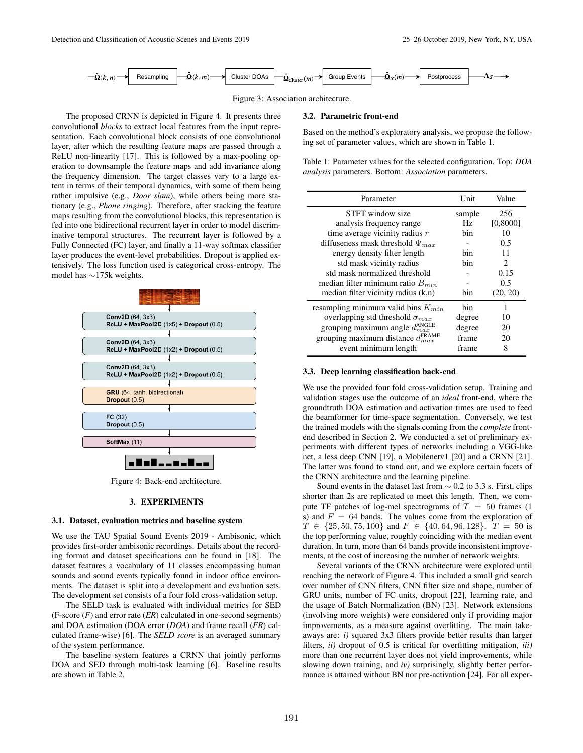

Figure 3: Association architecture.

The proposed CRNN is depicted in Figure 4. It presents three convolutional *blocks* to extract local features from the input representation. Each convolutional block consists of one convolutional layer, after which the resulting feature maps are passed through a ReLU non-linearity [17]. This is followed by a max-pooling operation to downsample the feature maps and add invariance along the frequency dimension. The target classes vary to a large extent in terms of their temporal dynamics, with some of them being rather impulsive (e.g., *Door slam*), while others being more stationary (e.g., *Phone ringing*). Therefore, after stacking the feature maps resulting from the convolutional blocks, this representation is fed into one bidirectional recurrent layer in order to model discriminative temporal structures. The recurrent layer is followed by a Fully Connected (FC) layer, and finally a 11-way softmax classifier layer produces the event-level probabilities. Dropout is applied extensively. The loss function used is categorical cross-entropy. The model has ∼175k weights.



Figure 4: Back-end architecture.

# 3. EXPERIMENTS

#### 3.1. Dataset, evaluation metrics and baseline system

We use the TAU Spatial Sound Events 2019 - Ambisonic, which provides first-order ambisonic recordings. Details about the recording format and dataset specifications can be found in [18]. The dataset features a vocabulary of 11 classes encompassing human sounds and sound events typically found in indoor office environments. The dataset is split into a development and evaluation sets. The development set consists of a four fold cross-validation setup.

The SELD task is evaluated with individual metrics for SED (F-score (*F*) and error rate (*ER*) calculated in one-second segments) and DOA estimation (DOA error (*DOA*) and frame recall (*FR*) calculated frame-wise) [6]. The *SELD score* is an averaged summary of the system performance.

The baseline system features a CRNN that jointly performs DOA and SED through multi-task learning [6]. Baseline results are shown in Table 2.

# 3.2. Parametric front-end

Based on the method's exploratory analysis, we propose the following set of parameter values, which are shown in Table 1.

Table 1: Parameter values for the selected configuration. Top: *DOA analysis* parameters. Bottom: *Association* parameters.

| Parameter                                          | Unit   | Value                         |
|----------------------------------------------------|--------|-------------------------------|
| STFT window size                                   | sample | 256                           |
| analysis frequency range                           | Hz.    | [0,8000]                      |
| time average vicinity radius $r$                   | bin    | 10                            |
| diffuseness mask threshold $\Psi_{max}$            |        | 0.5                           |
| energy density filter length                       | bin    | 11                            |
| std mask vicinity radius                           | bin    | $\mathfrak{D}_{\mathfrak{p}}$ |
| std mask normalized threshold                      |        | 0.15                          |
| median filter minimum ratio $B_{min}$              |        | 0.5                           |
| median filter vicinity radius $(k,n)$              | bin    | (20, 20)                      |
| resampling minimum valid bins $K_{min}$            | hin    | 1                             |
| overlapping std threshold $\sigma_{max}$           | degree | 10                            |
| grouping maximum angle $d_{max}^{\text{ANGLE}}$    | degree | 20                            |
| grouping maximum distance $d_{max}^{\text{FRAME}}$ | frame  | 20                            |
| event minimum length                               | frame  | 8                             |

# 3.3. Deep learning classification back-end

We use the provided four fold cross-validation setup. Training and validation stages use the outcome of an *ideal* front-end, where the groundtruth DOA estimation and activation times are used to feed the beamformer for time-space segmentation. Conversely, we test the trained models with the signals coming from the *complete* frontend described in Section 2. We conducted a set of preliminary experiments with different types of networks including a VGG-like net, a less deep CNN [19], a Mobilenetv1 [20] and a CRNN [21]. The latter was found to stand out, and we explore certain facets of the CRNN architecture and the learning pipeline.

Sound events in the dataset last from  $\sim$  0.2 to 3.3 s. First, clips shorter than 2s are replicated to meet this length. Then, we compute TF patches of log-mel spectrograms of  $T = 50$  frames (1) s) and  $F = 64$  bands. The values come from the exploration of  $T \in \{25, 50, 75, 100\}$  and  $F \in \{40, 64, 96, 128\}$ .  $T = 50$  is the top performing value, roughly coinciding with the median event duration. In turn, more than 64 bands provide inconsistent improvements, at the cost of increasing the number of network weights.

Several variants of the CRNN architecture were explored until reaching the network of Figure 4. This included a small grid search over number of CNN filters, CNN filter size and shape, number of GRU units, number of FC units, dropout [22], learning rate, and the usage of Batch Normalization (BN) [23]. Network extensions (involving more weights) were considered only if providing major improvements, as a measure against overfitting. The main takeaways are: *i)* squared 3x3 filters provide better results than larger filters, *ii)* dropout of 0.5 is critical for overfitting mitigation, *iii)* more than one recurrent layer does not yield improvements, while slowing down training, and *iv)* surprisingly, slightly better performance is attained without BN nor pre-activation [24]. For all exper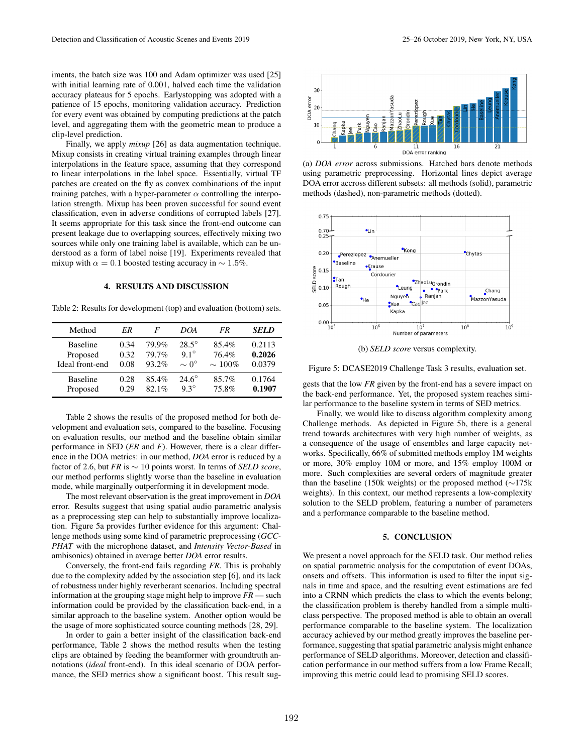iments, the batch size was 100 and Adam optimizer was used [25] with initial learning rate of 0.001, halved each time the validation accuracy plateaus for 5 epochs. Earlystopping was adopted with a patience of 15 epochs, monitoring validation accuracy. Prediction for every event was obtained by computing predictions at the patch level, and aggregating them with the geometric mean to produce a clip-level prediction.

Finally, we apply *mixup* [26] as data augmentation technique. Mixup consists in creating virtual training examples through linear interpolations in the feature space, assuming that they correspond to linear interpolations in the label space. Essentially, virtual TF patches are created on the fly as convex combinations of the input training patches, with a hyper-parameter  $\alpha$  controlling the interpolation strength. Mixup has been proven successful for sound event classification, even in adverse conditions of corrupted labels [27]. It seems appropriate for this task since the front-end outcome can present leakage due to overlapping sources, effectively mixing two sources while only one training label is available, which can be understood as a form of label noise [19]. Experiments revealed that mixup with  $\alpha = 0.1$  boosted testing accuracy in  $\sim 1.5\%$ .

# 4. RESULTS AND DISCUSSION

Table 2: Results for development (top) and evaluation (bottom) sets.

| Method          | ER   | F     | DOA              | FR           | SELD   |
|-----------------|------|-------|------------------|--------------|--------|
| <b>Baseline</b> | 0.34 | 79.9% | $28.5^\circ$     | 85.4%        | 0.2113 |
| Proposed        | 0.32 | 79.7% | $9.1^\circ$      | 76.4%        | 0.2026 |
| Ideal front-end | 0.08 | 93.2% | $\sim 0^{\circ}$ | $\sim 100\%$ | 0.0379 |
| <b>Baseline</b> | 0.28 | 85.4% | $24.6^\circ$     | 85.7%        | 0.1764 |
| Proposed        | 0.29 | 82.1% | $9.3^\circ$      | 75.8%        | 0.1907 |

Table 2 shows the results of the proposed method for both development and evaluation sets, compared to the baseline. Focusing on evaluation results, our method and the baseline obtain similar performance in SED (*ER* and *F*). However, there is a clear difference in the DOA metrics: in our method, *DOA* error is reduced by a factor of 2.6, but *FR* is ∼ 10 points worst. In terms of *SELD score*, our method performs slightly worse than the baseline in evaluation mode, while marginally outperforming it in development mode.

The most relevant observation is the great improvement in *DOA* error. Results suggest that using spatial audio parametric analysis as a preprocessing step can help to substantially improve localization. Figure 5a provides further evidence for this argument: Challenge methods using some kind of parametric preprocessing (*GCC-PHAT* with the microphone dataset, and *Intensity Vector-Based* in ambisonics) obtained in average better *DOA* error results.

Conversely, the front-end fails regarding *FR*. This is probably due to the complexity added by the association step [6], and its lack of robustness under highly reverberant scenarios. Including spectral information at the grouping stage might help to improve *FR* — such information could be provided by the classification back-end, in a similar approach to the baseline system. Another option would be the usage of more sophisticated source counting methods [28, 29].

In order to gain a better insight of the classification back-end performance, Table 2 shows the method results when the testing clips are obtained by feeding the beamformer with groundtruth annotations (*ideal* front-end). In this ideal scenario of DOA performance, the SED metrics show a significant boost. This result sug-



(a) *DOA error* across submissions. Hatched bars denote methods using parametric preprocessing. Horizontal lines depict average DOA error accross different subsets: all methods (solid), parametric methods (dashed), non-parametric methods (dotted).



(b) *SELD score* versus complexity.

Figure 5: DCASE2019 Challenge Task 3 results, evaluation set.

gests that the low *FR* given by the front-end has a severe impact on the back-end performance. Yet, the proposed system reaches similar performance to the baseline system in terms of SED metrics.

Finally, we would like to discuss algorithm complexity among Challenge methods. As depicted in Figure 5b, there is a general trend towards architectures with very high number of weights, as a consequence of the usage of ensembles and large capacity networks. Specifically, 66% of submitted methods employ 1M weights or more, 30% employ 10M or more, and 15% employ 100M or more. Such complexities are several orders of magnitude greater than the baseline (150k weights) or the proposed method (∼175k weights). In this context, our method represents a low-complexity solution to the SELD problem, featuring a number of parameters and a performance comparable to the baseline method.

# 5. CONCLUSION

We present a novel approach for the SELD task. Our method relies on spatial parametric analysis for the computation of event DOAs, onsets and offsets. This information is used to filter the input signals in time and space, and the resulting event estimations are fed into a CRNN which predicts the class to which the events belong; the classification problem is thereby handled from a simple multiclass perspective. The proposed method is able to obtain an overall performance comparable to the baseline system. The localization accuracy achieved by our method greatly improves the baseline performance, suggesting that spatial parametric analysis might enhance performance of SELD algorithms. Moreover, detection and classification performance in our method suffers from a low Frame Recall; improving this metric could lead to promising SELD scores.